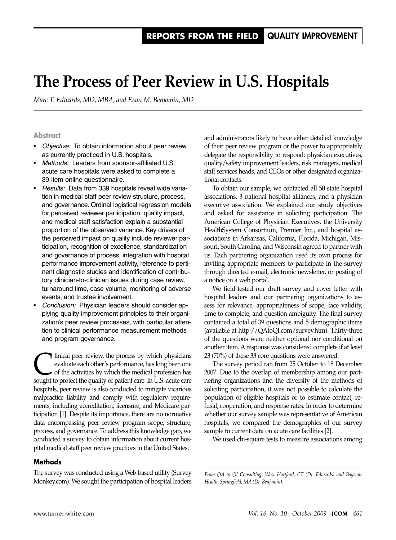# **The Process of Peer Review in U.S. Hospitals**

*Marc T. Edwards, MD, MBA, and Evan M. Benjamin, MD*

#### **Abstract**

- • *Objective:* To obtain information about peer review as currently practiced in U.S. hospitals.
- *Methods:* Leaders from sponsor-affiliated U.S. acute care hospitals were asked to complete a 39-item online questionnaire.
- *Results:* Data from 339 hospitals reveal wide variation in medical staff peer review structure, process, and governance. Ordinal logistical regression models for perceived reviewer participation, quality impact, and medical staff satisfaction explain a substantial proportion of the observed variance. Key drivers of the perceived impact on quality include reviewer participation, recognition of excellence, standardization and governance of process, integration with hospital performance improvement activity, reference to pertinent diagnostic studies and identification of contributory clinician-to-clinician issues during case review, turnaround time, case volume, monitoring of adverse events, and trustee involvement.
- **Conclusion:** Physician leaders should consider applying quality improvement principles to their organization's peer review processes, with particular attention to clinical performance measurement methods and program governance.

I linical peer review, the process by which physicians<br>
of the activities by which the medical profession has<br>
sought to protect the quality of patient care. In U.S. agate care evaluate each other's performance, has long been one sought to protect the quality of patient care. In U.S. acute care hospitals, peer review is also conducted to mitigate vicarious malpractice liability and comply with regulatory requirements, including accreditation, licensure, and Medicare participation [1]. Despite its importance, there are no normative data encompassing peer review program scope, structure, process, and governance. To address this knowledge gap, we conducted a survey to obtain information about current hospital medical staff peer review practices in the United States.

#### **Methods**

The survey was conducted using a Web-based utility (Survey Monkey.com). We sought the participation of hospital leaders

and administrators likely to have either detailed knowledge of their peer review program or the power to appropriately delegate the responsibility to respond: physician executives, quality/safety improvement leaders, risk managers, medical staff services heads, and CEOs or other designated organizational contacts.

To obtain our sample, we contacted all 50 state hospital associations, 3 national hospital alliances, and a physician executive association. We explained our study objectives and asked for assistance in soliciting participation. The American College of Physician Executives, the University HealthSystem Consortium, Premier Inc., and hospital associations in Arkansas, California, Florida, Michigan, Missouri, South Carolina, and Wisconsin agreed to partner with us. Each partnering organization used its own process for inviting appropriate members to participate in the survey through directed e-mail, electronic newsletter, or posting of a notice on a web portal.

We field-tested our draft survey and cover letter with hospital leaders and our partnering organizations to assess for relevance, appropriateness of scope, face validity, time to complete, and question ambiguity. The final survey contained a total of 39 questions and 5 demographic items (available at http://QAtoQI.com/survey.htm). Thirty-three of the questions were neither optional nor conditional on another item. A response was considered complete if at least 23 (70%) of these 33 core questions were answered.

The survey period ran from 25 October to 18 December 2007. Due to the overlap of membership among our partnering organizations and the diversity of the methods of soliciting participation, it was not possible to calculate the population of eligible hospitals or to estimate contact, refusal, cooperation, and response rates. In order to determine whether our survey sample was representative of American hospitals, we compared the demographics of our survey sample to current data on acute care facilities [2].

We used chi-square tests to measure associations among

*From QA to QI Consulting, West Hartford, CT (Dr. Edwards) and Baystate Health, Springfield, MA (Dr. Benjamin).*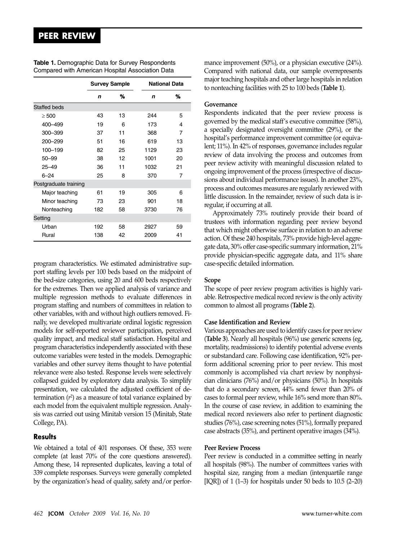|                       | <b>Survey Sample</b> |    | <b>National Data</b> |    |
|-----------------------|----------------------|----|----------------------|----|
|                       | n                    | %  | n                    | ℅  |
| <b>Staffed beds</b>   |                      |    |                      |    |
| $\geq 500$            | 43                   | 13 | 244                  | 5  |
| 400-499               | 19                   | 6  | 173                  | 4  |
| 300-399               | 37                   | 11 | 368                  | 7  |
| 200-299               | 51                   | 16 | 619                  | 13 |
| 100-199               | 82                   | 25 | 1129                 | 23 |
| $50 - 99$             | 38                   | 12 | 1001                 | 20 |
| $25 - 49$             | 36                   | 11 | 1032                 | 21 |
| $6 - 24$              | 25                   | 8  | 370                  | 7  |
| Postgraduate training |                      |    |                      |    |
| Major teaching        | 61                   | 19 | 305                  | 6  |
| Minor teaching        | 73                   | 23 | 901                  | 18 |
| Nonteaching           | 182                  | 58 | 3730                 | 76 |
| Setting               |                      |    |                      |    |
| Urban                 | 192                  | 58 | 2927                 | 59 |
| Rural                 | 138                  | 42 | 2009                 | 41 |

**Table 1.** Demographic Data for Survey Respondents Compared with American Hospital Association Data

program characteristics. We estimated administrative support staffing levels per 100 beds based on the midpoint of the bed-size categories, using 20 and 600 beds respectively for the extremes. Then we applied analysis of variance and multiple regression methods to evaluate differences in program staffing and numbers of committees in relation to other variables, with and without high outliers removed. Finally, we developed multivariate ordinal logistic regression models for self-reported reviewer participation, perceived quality impact, and medical staff satisfaction. Hospital and program characteristics independently associated with these outcome variables were tested in the models. Demographic variables and other survey items thought to have potential relevance were also tested. Response levels were selectively collapsed guided by exploratory data analysis. To simplify presentation, we calculated the adjusted coefficient of determination (*r*<sup>2</sup> ) as a measure of total variance explained by each model from the equivalent multiple regression. Analysis was carried out using Minitab version 15 (Minitab, State College, PA).

#### **Results**

We obtained a total of 401 responses. Of these, 353 were complete (at least 70% of the core questions answered). Among these, 14 represented duplicates, leaving a total of 339 complete responses. Surveys were generally completed by the organization's head of quality, safety and/or performance improvement (50%), or a physician executive (24%). Compared with national data, our sample overrepresents major teaching hospitals and other large hospitals in relation to nonteaching facilities with 25 to 100 beds (**Table 1**).

#### **Governance**

Respondents indicated that the peer review process is governed by the medical staff's executive committee (58%), a specially designated oversight committee (29%), or the hospital's performance improvement committee (or equivalent; 11%). In 42% of responses, governance includes regular review of data involving the process and outcomes from peer review activity with meaningful discussion related to ongoing improvement of the process (irrespective of discussions about individual performance issues). In another 23%, process and outcomes measures are regularly reviewed with little discussion. In the remainder, review of such data is irregular, if occurring at all.

Approximately 73% routinely provide their board of trustees with information regarding peer review beyond that which might otherwise surface in relation to an adverse action. Of these 240 hospitals, 73% provide high-level aggregate data, 30% offer case-specific summary information, 21% provide physician-specific aggregate data, and 11% share case-specific detailed information.

#### **Scope**

The scope of peer review program activities is highly variable. Retrospective medical record review is the only activity common to almost all programs (**Table 2**).

#### **Case Identification and Review**

Various approaches are used to identify cases for peer review (**Table 3**). Nearly all hospitals (96%) use generic screens (eg, mortality, readmissions) to identify potential adverse events or substandard care. Following case identification, 92% perform additional screening prior to peer review. This most commonly is accomplished via chart review by nonphysician clinicians (76%) and/or physicians (50%). In hospitals that do a secondary screen, 44% send fewer than 20% of cases to formal peer review, while 16% send more than 80%. In the course of case review, in addition to examining the medical record reviewers also refer to pertinent diagnostic studies (76%), case screening notes (51%), formally prepared case abstracts (35%), and pertinent operative images (34%).

#### **Peer Review Process**

Peer review is conducted in a committee setting in nearly all hospitals (98%). The number of committees varies with hospital size, ranging from a median (interquartile range [IQR]) of  $1$  (1–3) for hospitals under 50 beds to  $10.5$  (2–20)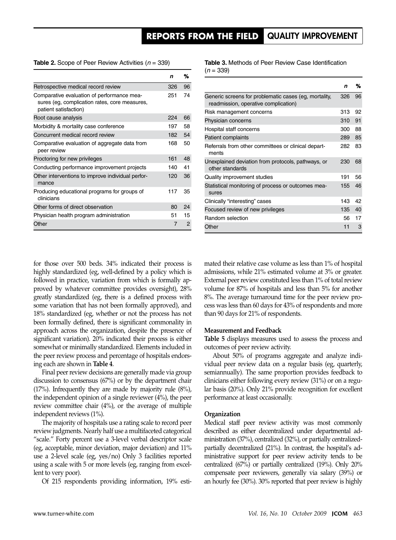## **reports from the field** quality improvement

**Table 2.** Scope of Peer Review Activities (*n* = 339)

|                                                                                                                      | n   | %  |
|----------------------------------------------------------------------------------------------------------------------|-----|----|
| Retrospective medical record review                                                                                  | 326 | 96 |
| Comparative evaluation of performance mea-<br>sures (eg. complication rates, core measures,<br>patient satisfaction) | 251 | 74 |
| Root cause analysis                                                                                                  | 224 | 66 |
| Morbidity & mortality case conference                                                                                | 197 | 58 |
| Concurrent medical record review                                                                                     | 182 | 54 |
| Comparative evaluation of aggregate data from<br>peer review                                                         | 168 | 50 |
| Proctoring for new privileges                                                                                        | 161 | 48 |
| Conducting performance improvement projects                                                                          | 140 | 41 |
| Other interventions to improve individual perfor-<br>mance                                                           | 120 | 36 |
| Producing educational programs for groups of<br>clinicians                                                           | 117 | 35 |
| Other forms of direct observation                                                                                    | 80  | 24 |
| Physician health program administration                                                                              | 51  | 15 |
| Other                                                                                                                | 7   | 2  |

**Table 3.** Methods of Peer Review Case Identification (*n* = 339)

|                                                                                               | n   | ℅  |
|-----------------------------------------------------------------------------------------------|-----|----|
| Generic screens for problematic cases (eg, mortality,<br>readmission, operative complication) | 326 | 96 |
| Risk management concerns                                                                      | 313 | 92 |
| Physician concerns                                                                            | 310 | 91 |
| Hospital staff concerns                                                                       | 300 | 88 |
| Patient complaints                                                                            | 289 | 85 |
| Referrals from other committees or clinical depart-<br>ments                                  | 282 | 83 |
| Unexplained deviation from protocols, pathways, or<br>other standards                         | 230 | 68 |
| Quality improvement studies                                                                   | 191 | 56 |
| Statistical monitoring of process or outcomes mea-<br>sures                                   | 155 | 46 |
| Clinically "interesting" cases                                                                | 143 | 42 |
| Focused review of new privileges                                                              | 135 | 40 |
| Random selection                                                                              | 56  | 17 |
| Other                                                                                         | 11  | 3  |

for those over 500 beds. 34% indicated their process is highly standardized (eg, well-defined by a policy which is followed in practice, variation from which is formally approved by whatever committee provides oversight), 28% greatly standardized (eg, there is a defined process with some variation that has not been formally approved), and 18% standardized (eg, whether or not the process has not been formally defined, there is significant commonality in approach across the organization, despite the presence of significant variation). 20% indicated their process is either somewhat or minimally standardized. Elements included in the peer review process and percentage of hospitals endorsing each are shown in **Table 4**.

Final peer review decisions are generally made via group discussion to consensus (67%) or by the department chair (17%). Infrequently they are made by majority rule (8%), the independent opinion of a single reviewer (4%), the peer review committee chair (4%), or the average of multiple independent reviews (1%).

The majority of hospitals use a rating scale to record peer review judgments. Nearly half use a multifaceted categorical "scale." Forty percent use a 3-level verbal descriptor scale (eg, acceptable, minor deviation, major deviation) and 11% use a 2-level scale (eg, yes/no) Only 3 facilities reported using a scale with 5 or more levels (eg, ranging from excellent to very poor).

Of 215 respondents providing information, 19% esti-

mated their relative case volume as less than 1% of hospital admissions, while 21% estimated volume at 3% or greater. External peer review constituted less than 1% of total review volume for 87% of hospitals and less than 5% for another 8%. The average turnaround time for the peer review process was less than 60 days for 43% of respondents and more than 90 days for 21% of respondents.

#### **Measurement and Feedback**

**Table 5** displays measures used to assess the process and outcomes of peer review activity.

About 50% of programs aggregate and analyze individual peer review data on a regular basis (eg, quarterly, semiannually). The same proportion provides feedback to clinicians either following every review (31%) or on a regular basis (20%). Only 21% provide recognition for excellent performance at least occasionally.

#### **Organization**

Medical staff peer review activity was most commonly described as either decentralized under departmental administration (37%), centralized (32%), or partially centralizedpartially decentralized (21%). In contrast, the hospital's administrative support for peer review activity tends to be centralized (67%) or partially centralized (19%). Only 20% compensate peer reviewers, generally via salary (39%) or an hourly fee (30%). 30% reported that peer review is highly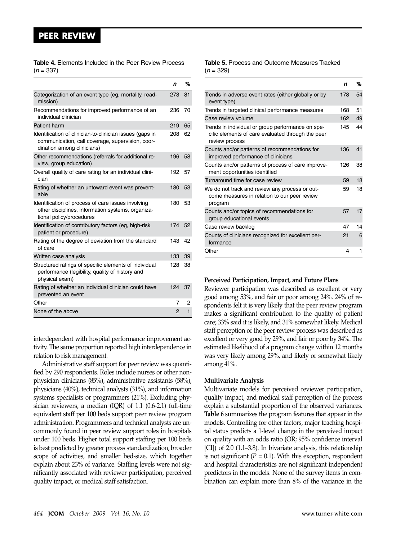### **peer review**

| <b>Table 4.</b> Elements Included in the Peer Review Process |  |  |  |
|--------------------------------------------------------------|--|--|--|
| $(n = 337)$                                                  |  |  |  |

|                                                                                                                                            | n   | %            |
|--------------------------------------------------------------------------------------------------------------------------------------------|-----|--------------|
| Categorization of an event type (eg, mortality, read-<br>mission)                                                                          | 273 | 81           |
| Recommendations for improved performance of an<br>individual clinician                                                                     | 236 | 70           |
| Patient harm                                                                                                                               | 219 | 65           |
| Identification of clinician-to-clinician issues (gaps in<br>communication, call coverage, supervision, coor-<br>dination among clinicians) | 208 | 62           |
| Other recommendations (referrals for additional re-<br>view, group education)                                                              | 196 | 58           |
| Overall quality of care rating for an individual clini-<br>cian                                                                            | 192 | 57           |
| Rating of whether an untoward event was prevent-<br>able                                                                                   | 180 | 53           |
| Identification of process of care issues involving<br>other disciplines, information systems, organiza-<br>tional policy/procedures        | 180 | 53           |
| Identification of contributory factors (eg, high-risk<br>patient or procedure)                                                             | 174 | 52           |
| Rating of the degree of deviation from the standard<br>of care                                                                             | 143 | 42           |
| Written case analysis                                                                                                                      | 133 | 39           |
| Structured ratings of specific elements of individual<br>performance (legibility, quality of history and<br>physical exam)                 | 128 | 38           |
| Rating of whether an individual clinician could have<br>prevented an event                                                                 | 124 | 37           |
| Other                                                                                                                                      | 7   | 2            |
| None of the above                                                                                                                          | 2   | $\mathbf{1}$ |

interdependent with hospital performance improvement activity. The same proportion reported high interdependence in relation to risk management.

Administrative staff support for peer review was quantified by 290 respondents. Roles include nurses or other nonphysician clinicians (85%), administrative assistants (58%), physicians (40%), technical analysts (31%), and information systems specialists or programmers (21%). Excluding physician reviewers, a median (IQR) of 1.1 (0.6-2.1) full-time equivalent staff per 100 beds support peer review program administration. Programmers and technical analysts are uncommonly found in peer review support roles in hospitals under 100 beds. Higher total support staffing per 100 beds is best predicted by greater process standardization, broader scope of activities, and smaller bed-size, which together explain about 23% of variance. Staffing levels were not significantly associated with reviewer participation, perceived quality impact, or medical staff satisfaction.

#### **Table 5.** Process and Outcome Measures Tracked  $(n = 329)$

|                                                                                                                          | n   | ℅  |
|--------------------------------------------------------------------------------------------------------------------------|-----|----|
| Trends in adverse event rates (either globally or by<br>event type)                                                      | 178 | 54 |
| Trends in targeted clinical performance measures                                                                         | 168 | 51 |
| Case review volume                                                                                                       | 162 | 49 |
| Trends in individual or group performance on spe-<br>cific elements of care evaluated through the peer<br>review process | 145 | 44 |
| Counts and/or patterns of recommendations for<br>improved performance of clinicians                                      | 136 | 41 |
| Counts and/or patterns of process of care improve-<br>ment opportunities identified                                      | 126 | 38 |
| Turnaround time for case review                                                                                          | 59  | 18 |
| We do not track and review any process or out-<br>come measures in relation to our peer review<br>program                | 59  | 18 |
| Counts and/or topics of recommendations for<br>group educational events                                                  | 57  | 17 |
| Case review backlog                                                                                                      | 47  | 14 |
| Counts of clinicians recognized for excellent per-<br>formance                                                           | 21  | 6  |
| Other                                                                                                                    | 4   | 1  |

#### **Perceived Participation, Impact, and Future Plans**

Reviewer participation was described as excellent or very good among 53%, and fair or poor among 24%. 24% of respondents felt it is very likely that the peer review program makes a significant contribution to the quality of patient care; 33% said it is likely, and 31% somewhat likely. Medical staff perception of the peer review process was described as excellent or very good by 29%, and fair or poor by 34%. The estimated likelihood of a program change within 12 months was very likely among 29%, and likely or somewhat likely among 41%.

#### **Multivariate Analysis**

Multivariate models for perceived reviewer participation, quality impact, and medical staff perception of the process explain a substantial proportion of the observed variances. **Table 6** summarizes the program features that appear in the models. Controlling for other factors, major teaching hospital status predicts a 1-level change in the perceived impact on quality with an odds ratio (OR; 95% confidence interval [CI]) of 2.0 (1.1–3.8). In bivariate analysis, this relationship is not significant  $(P = 0.1)$ . With this exception, respondent and hospital characteristics are not significant independent predictors in the models. None of the survey items in combination can explain more than 8% of the variance in the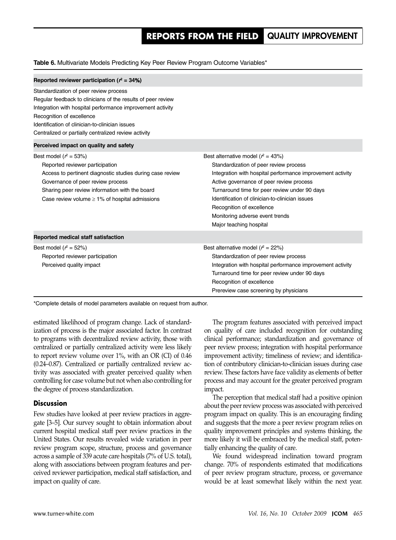**Table 6.** Multivariate Models Predicting Key Peer Review Program Outcome Variables\*

| Reported reviewer participation ( $r^2 = 34\%)$                                                                                                                                                                                                                                                              |                                                                                                                                                                                                                                                                                                                                                                                           |
|--------------------------------------------------------------------------------------------------------------------------------------------------------------------------------------------------------------------------------------------------------------------------------------------------------------|-------------------------------------------------------------------------------------------------------------------------------------------------------------------------------------------------------------------------------------------------------------------------------------------------------------------------------------------------------------------------------------------|
| Standardization of peer review process<br>Regular feedback to clinicians of the results of peer review<br>Integration with hospital performance improvement activity<br>Recognition of excellence<br>Identification of clinician-to-clinician issues<br>Centralized or partially centralized review activity |                                                                                                                                                                                                                                                                                                                                                                                           |
| Perceived impact on quality and safety                                                                                                                                                                                                                                                                       |                                                                                                                                                                                                                                                                                                                                                                                           |
| Best model ( $r^2 = 53\%)$<br>Reported reviewer participation<br>Access to pertinent diagnostic studies during case review<br>Governance of peer review process<br>Sharing peer review information with the board<br>Case review volume $\geq$ 1% of hospital admissions                                     | Best alternative model ( $r^2 = 43\%)$<br>Standardization of peer review process<br>Integration with hospital performance improvement activity<br>Active governance of peer review process<br>Turnaround time for peer review under 90 days<br>Identification of clinician-to-clinician issues<br>Recognition of excellence<br>Monitoring adverse event trends<br>Major teaching hospital |
| Reported medical staff satisfaction                                                                                                                                                                                                                                                                          |                                                                                                                                                                                                                                                                                                                                                                                           |
| Best model ( $r^2 = 52\%)$<br>Reported reviewer participation<br>Perceived quality impact                                                                                                                                                                                                                    | Best alternative model ( $r^2 = 22\%)$<br>Standardization of peer review process<br>Integration with hospital performance improvement activity<br>Turnaround time for peer review under 90 days<br>Recognition of excellence<br>Prereview case screening by physicians                                                                                                                    |

\*Complete details of model parameters available on request from author.

estimated likelihood of program change. Lack of standardization of process is the major associated factor. In contrast to programs with decentralized review activity, those with centralized or partially centralized activity were less likely to report review volume over 1%, with an OR (CI) of 0.46 (0.24–0.87). Centralized or partially centralized review activity was associated with greater perceived quality when controlling for case volume but not when also controlling for the degree of process standardization.

#### **Discussion**

Few studies have looked at peer review practices in aggregate [3–5]. Our survey sought to obtain information about current hospital medical staff peer review practices in the United States. Our results revealed wide variation in peer review program scope, structure, process and governance across a sample of 339 acute care hospitals (7% of U.S. total), along with associations between program features and perceived reviewer participation, medical staff satisfaction, and impact on quality of care.

The program features associated with perceived impact on quality of care included recognition for outstanding clinical performance; standardization and governance of peer review process; integration with hospital performance improvement activity; timeliness of review; and identification of contributory clinician-to-clinician issues during case review. These factors have face validity as elements of better process and may account for the greater perceived program impact.

The perception that medical staff had a positive opinion about the peer review process was associated with perceived program impact on quality. This is an encouraging finding and suggests that the more a peer review program relies on quality improvement principles and systems thinking, the more likely it will be embraced by the medical staff, potentially enhancing the quality of care.

We found widespread inclination toward program change. 70% of respondents estimated that modifications of peer review program structure, process, or governance would be at least somewhat likely within the next year.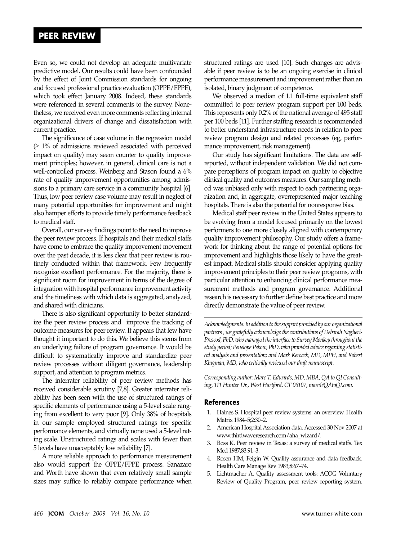## **peer review**

Even so, we could not develop an adequate multivariate predictive model. Our results could have been confounded by the effect of Joint Commission standards for ongoing and focused professional practice evaluation (OPPE/FPPE), which took effect January 2008. Indeed, these standards were referenced in several comments to the survey. Nonetheless, we received even more comments reflecting internal organizational drivers of change and dissatisfaction with current practice.

The significance of case volume in the regression model  $(≥ 1%$  of admissions reviewed associated with perceived impact on quality) may seem counter to quality improvement principles; however, in general, clinical care is not a well-controlled process. Weinberg and Stason found a 6% rate of quality improvement opportunities among admissions to a primary care service in a community hospital [6]. Thus, low peer review case volume may result in neglect of many potential opportunities for improvement and might also hamper efforts to provide timely performance feedback to medical staff.

Overall, our survey findings point to the need to improve the peer review process. If hospitals and their medical staffs have come to embrace the quality improvement movement over the past decade, it is less clear that peer review is routinely conducted within that framework. Few frequently recognize excellent performance. For the majority, there is significant room for improvement in terms of the degree of integration with hospital performance improvement activity and the timeliness with which data is aggregated, analyzed, and shared with clinicians.

There is also significant opportunity to better standardize the peer review process and improve the tracking of outcome measures for peer review. It appears that few have thought it important to do this. We believe this stems from an underlying failure of program governance. It would be difficult to systematically improve and standardize peer review processes without diligent governance, leadership support, and attention to program metrics.

The interrater reliability of peer review methods has received considerable scrutiny [7,8]. Greater interrater reliability has been seen with the use of structured ratings of specific elements of performance using a 5-level scale ranging from excellent to very poor [9]. Only 38% of hospitals in our sample employed structured ratings for specific performance elements, and virtually none used a 5-level rating scale. Unstructured ratings and scales with fewer than 5 levels have unacceptably low reliability [7].

A more reliable approach to performance measurement also would support the OPPE/FPPE process. Sanazaro and Worth have shown that even relatively small sample sizes may suffice to reliably compare performance when

structured ratings are used [10]. Such changes are advisable if peer review is to be an ongoing exercise in clinical performance measurement and improvement rather than an isolated, binary judgment of competence.

We observed a median of 1.1 full-time equivalent staff committed to peer review program support per 100 beds. This represents only 0.2% of the national average of 495 staff per 100 beds [11]. Further staffing research is recommended to better understand infrastructure needs in relation to peer review program design and related processes (eg, performance improvement, risk management).

Our study has significant limitations. The data are selfreported, without independent validation. We did not compare perceptions of program impact on quality to objective clinical quality and outcomes measures. Our sampling method was unbiased only with respect to each partnering organization and, in aggregate, overrepresented major teaching hospitals. There is also the potential for nonresponse bias.

Medical staff peer review in the United States appears to be evolving from a model focused primarily on the lowest performers to one more closely aligned with contemporary quality improvement philosophy. Our study offers a framework for thinking about the range of potential options for improvement and highlights those likely to have the greatest impact. Medical staffs should consider applying quality improvement principles to their peer review programs, with particular attention to enhancing clinical performance measurement methods and program governance. Additional research is necessary to further define best practice and more directly demonstrate the value of peer review.

*Acknowledgments:Inaddition to thesupport provided by our organizational partners, we gratefully acknowledgethe contributions of Deborah Naglieri-Prescod, PhD, who managed the interface to Survey Monkey throughout the study period; Penelope Pekow, PhD, who provided adviceregarding statistical analysis and presentation; and Mark Keroack, MD, MPH, and Robert Klugman, MD, who critically reviewed our draft manuscript.*

*Corresponding author: Marc T. Edwards, MD, MBA, QA to QI Consulting, 111 Hunter Dr., West Hartford, CT 06107, marc@QAtoQI.com.*

#### **References**

- 1. Haines S. Hospital peer review systems: an overview. Health Matrix 1984–5;2:30–2.
- 2. American Hospital Association data. Accessed 30 Nov 2007 at www.thirdwaveresearch.com/aha\_wizard/.
- 3. Ross K. Peer review in Texas: a survey of medical staffs. Tex Med 1987;83:91–3.
- 4. Rosen HM, Feigin W. Quality assurance and data feedback. Health Care Manage Rev 1983;8:67–74.
- 5. Lichtmacher A. Quality assessment tools: ACOG Voluntary Review of Quality Program, peer review reporting system.